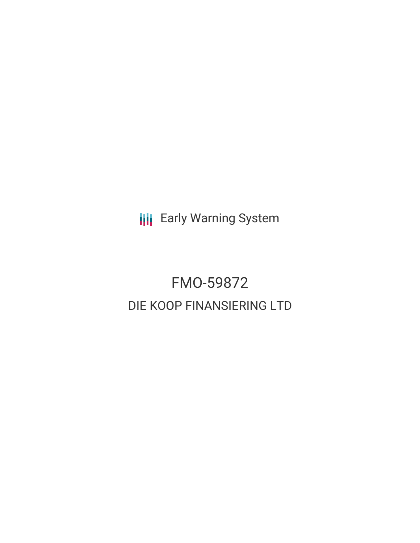**III** Early Warning System

## FMO-59872 DIE KOOP FINANSIERING LTD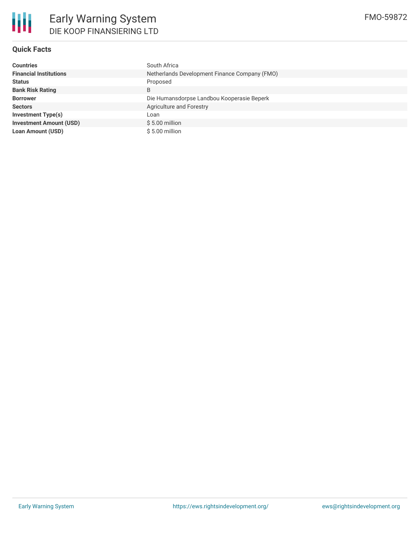

#### **Quick Facts**

| <b>Countries</b>               | South Africa                                  |  |  |  |  |
|--------------------------------|-----------------------------------------------|--|--|--|--|
| <b>Financial Institutions</b>  | Netherlands Development Finance Company (FMO) |  |  |  |  |
| <b>Status</b>                  | Proposed                                      |  |  |  |  |
| <b>Bank Risk Rating</b>        | B                                             |  |  |  |  |
| <b>Borrower</b>                | Die Humansdorpse Landbou Kooperasie Beperk    |  |  |  |  |
| <b>Sectors</b>                 | Agriculture and Forestry                      |  |  |  |  |
| <b>Investment Type(s)</b>      | Loan                                          |  |  |  |  |
| <b>Investment Amount (USD)</b> | $$5.00$ million                               |  |  |  |  |
| <b>Loan Amount (USD)</b>       | $$5.00$ million                               |  |  |  |  |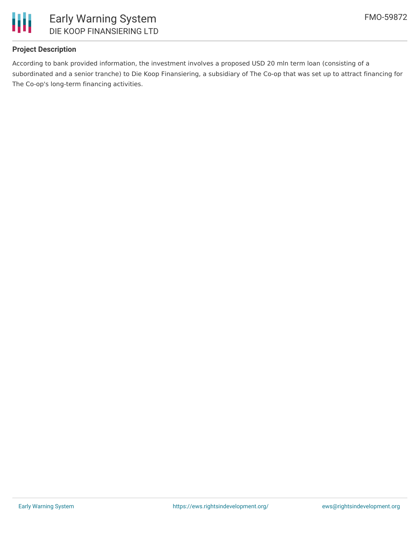

#### **Project Description**

According to bank provided information, the investment involves a proposed USD 20 mln term loan (consisting of a subordinated and a senior tranche) to Die Koop Finansiering, a subsidiary of The Co-op that was set up to attract financing for The Co-op's long-term financing activities.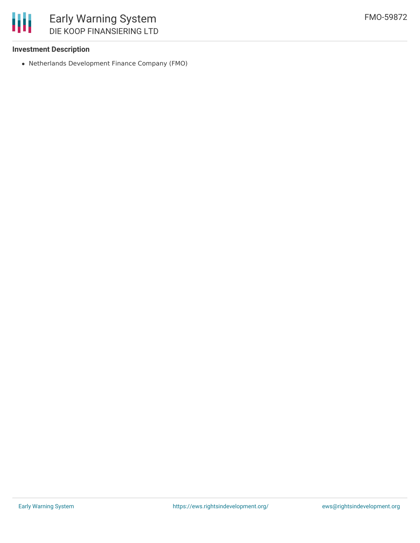### 朋 Early Warning System DIE KOOP FINANSIERING LTD

#### **Investment Description**

Netherlands Development Finance Company (FMO)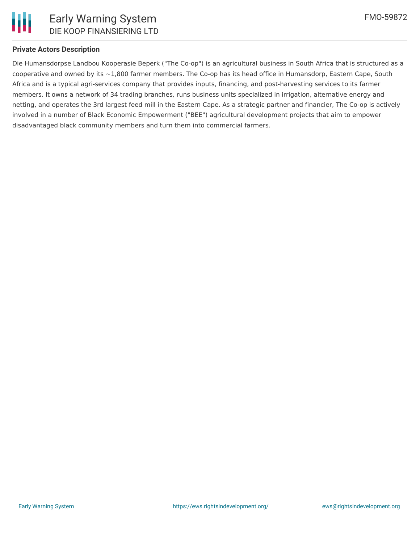

#### **Private Actors Description**

Die Humansdorpse Landbou Kooperasie Beperk ("The Co-op") is an agricultural business in South Africa that is structured as a cooperative and owned by its  $\sim$ 1,800 farmer members. The Co-op has its head office in Humansdorp, Eastern Cape, South Africa and is a typical agri-services company that provides inputs, financing, and post-harvesting services to its farmer members. It owns a network of 34 trading branches, runs business units specialized in irrigation, alternative energy and netting, and operates the 3rd largest feed mill in the Eastern Cape. As a strategic partner and financier, The Co-op is actively involved in a number of Black Economic Empowerment ("BEE") agricultural development projects that aim to empower disadvantaged black community members and turn them into commercial farmers.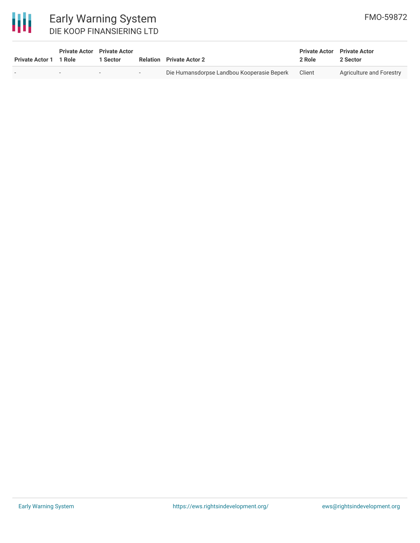# 冊

| <b>Early Warning System</b> |
|-----------------------------|
| DIE KOOP FINANSIERING LTD   |

| <b>Private Actor 1</b> | <b>Private Actor</b> Private Actor<br>1 Role | Sector |            | <b>Relation</b> Private Actor 2            | <b>Private Actor</b> Private Actor<br>2 Role | 2 Sector                 |
|------------------------|----------------------------------------------|--------|------------|--------------------------------------------|----------------------------------------------|--------------------------|
|                        | $\overline{\phantom{a}}$                     |        | $\sim$ $-$ | Die Humansdorpse Landbou Kooperasie Beperk | Client                                       | Agriculture and Forestry |